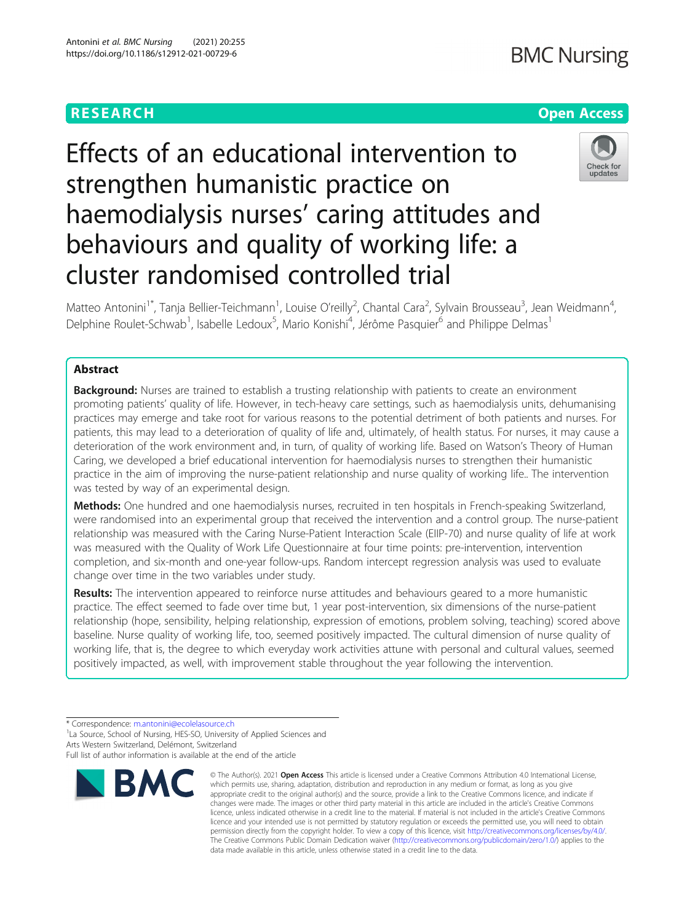# **RESEARCH CHEAR CHEAR CHEAR CHEAR CHEAR CHEAP CONTROL**

# Effects of an educational intervention to strengthen humanistic practice on haemodialysis nurses' caring attitudes and behaviours and quality of working life: a cluster randomised controlled trial



Matteo Antonini<sup>1\*</sup>, Tanja Bellier-Teichmann<sup>1</sup>, Louise O'reilly<sup>2</sup>, Chantal Cara<sup>2</sup>, Sylvain Brousseau<sup>3</sup>, Jean Weidmann<sup>4</sup> , Delphine Roulet-Schwab<sup>1</sup>, Isabelle Ledoux<sup>5</sup>, Mario Konishi<sup>4</sup>, Jérôme Pasquier<sup>6</sup> and Philippe Delmas<sup>1</sup>

# Abstract

**Background:** Nurses are trained to establish a trusting relationship with patients to create an environment promoting patients' quality of life. However, in tech-heavy care settings, such as haemodialysis units, dehumanising practices may emerge and take root for various reasons to the potential detriment of both patients and nurses. For patients, this may lead to a deterioration of quality of life and, ultimately, of health status. For nurses, it may cause a deterioration of the work environment and, in turn, of quality of working life. Based on Watson's Theory of Human Caring, we developed a brief educational intervention for haemodialysis nurses to strengthen their humanistic practice in the aim of improving the nurse-patient relationship and nurse quality of working life.. The intervention was tested by way of an experimental design.

Methods: One hundred and one haemodialysis nurses, recruited in ten hospitals in French-speaking Switzerland, were randomised into an experimental group that received the intervention and a control group. The nurse-patient relationship was measured with the Caring Nurse-Patient Interaction Scale (EIIP-70) and nurse quality of life at work was measured with the Quality of Work Life Questionnaire at four time points: pre-intervention, intervention completion, and six-month and one-year follow-ups. Random intercept regression analysis was used to evaluate change over time in the two variables under study.

Results: The intervention appeared to reinforce nurse attitudes and behaviours geared to a more humanistic practice. The effect seemed to fade over time but, 1 year post-intervention, six dimensions of the nurse-patient relationship (hope, sensibility, helping relationship, expression of emotions, problem solving, teaching) scored above baseline. Nurse quality of working life, too, seemed positively impacted. The cultural dimension of nurse quality of working life, that is, the degree to which everyday work activities attune with personal and cultural values, seemed positively impacted, as well, with improvement stable throughout the year following the intervention.

Full list of author information is available at the end of the article



<sup>©</sup> The Author(s), 2021 **Open Access** This article is licensed under a Creative Commons Attribution 4.0 International License, which permits use, sharing, adaptation, distribution and reproduction in any medium or format, as long as you give appropriate credit to the original author(s) and the source, provide a link to the Creative Commons licence, and indicate if changes were made. The images or other third party material in this article are included in the article's Creative Commons licence, unless indicated otherwise in a credit line to the material. If material is not included in the article's Creative Commons licence and your intended use is not permitted by statutory regulation or exceeds the permitted use, you will need to obtain permission directly from the copyright holder. To view a copy of this licence, visit [http://creativecommons.org/licenses/by/4.0/.](http://creativecommons.org/licenses/by/4.0/) The Creative Commons Public Domain Dedication waiver [\(http://creativecommons.org/publicdomain/zero/1.0/](http://creativecommons.org/publicdomain/zero/1.0/)) applies to the data made available in this article, unless otherwise stated in a credit line to the data.

<sup>\*</sup> Correspondence: [m.antonini@ecolelasource.ch](mailto:m.antonini@ecolelasource.ch) <sup>1</sup>

<sup>&</sup>lt;sup>1</sup> La Source, School of Nursing, HES-SO, University of Applied Sciences and Arts Western Switzerland, Delémont, Switzerland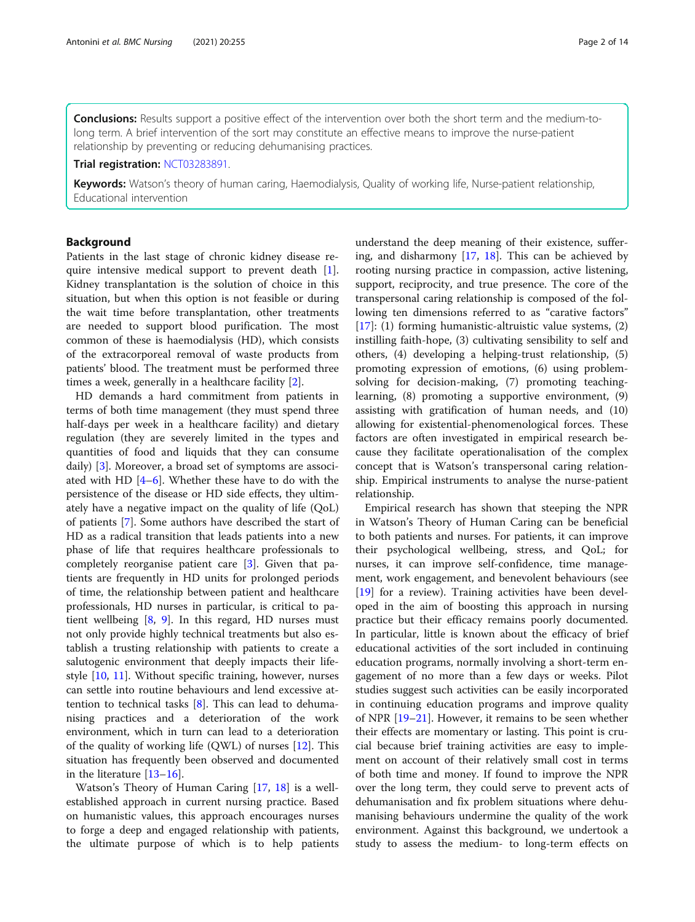Conclusions: Results support a positive effect of the intervention over both the short term and the medium-tolong term. A brief intervention of the sort may constitute an effective means to improve the nurse-patient relationship by preventing or reducing dehumanising practices.

Trial registration: [NCT03283891](https://clinicaltrials.gov/ct2/show/NCT03283891).

Keywords: Watson's theory of human caring, Haemodialysis, Quality of working life, Nurse-patient relationship, Educational intervention

# Background

Patients in the last stage of chronic kidney disease require intensive medical support to prevent death [\[1](#page-12-0)]. Kidney transplantation is the solution of choice in this situation, but when this option is not feasible or during the wait time before transplantation, other treatments are needed to support blood purification. The most common of these is haemodialysis (HD), which consists of the extracorporeal removal of waste products from patients' blood. The treatment must be performed three times a week, generally in a healthcare facility [\[2](#page-12-0)].

HD demands a hard commitment from patients in terms of both time management (they must spend three half-days per week in a healthcare facility) and dietary regulation (they are severely limited in the types and quantities of food and liquids that they can consume daily) [\[3](#page-12-0)]. Moreover, a broad set of symptoms are associated with HD [[4](#page-12-0)–[6\]](#page-12-0). Whether these have to do with the persistence of the disease or HD side effects, they ultimately have a negative impact on the quality of life (QoL) of patients [[7\]](#page-12-0). Some authors have described the start of HD as a radical transition that leads patients into a new phase of life that requires healthcare professionals to completely reorganise patient care [[3\]](#page-12-0). Given that patients are frequently in HD units for prolonged periods of time, the relationship between patient and healthcare professionals, HD nurses in particular, is critical to patient wellbeing [[8,](#page-12-0) [9](#page-12-0)]. In this regard, HD nurses must not only provide highly technical treatments but also establish a trusting relationship with patients to create a salutogenic environment that deeply impacts their lifestyle [[10](#page-12-0), [11\]](#page-12-0). Without specific training, however, nurses can settle into routine behaviours and lend excessive attention to technical tasks [[8](#page-12-0)]. This can lead to dehumanising practices and a deterioration of the work environment, which in turn can lead to a deterioration of the quality of working life  $(QWL)$  of nurses [\[12\]](#page-12-0). This situation has frequently been observed and documented in the literature [[13](#page-12-0)–[16](#page-12-0)].

Watson's Theory of Human Caring [[17,](#page-12-0) [18](#page-12-0)] is a wellestablished approach in current nursing practice. Based on humanistic values, this approach encourages nurses to forge a deep and engaged relationship with patients, the ultimate purpose of which is to help patients

understand the deep meaning of their existence, suffering, and disharmony  $[17, 18]$  $[17, 18]$  $[17, 18]$  $[17, 18]$ . This can be achieved by rooting nursing practice in compassion, active listening, support, reciprocity, and true presence. The core of the transpersonal caring relationship is composed of the following ten dimensions referred to as "carative factors" [[17\]](#page-12-0): (1) forming humanistic-altruistic value systems, (2) instilling faith-hope, (3) cultivating sensibility to self and others, (4) developing a helping-trust relationship, (5) promoting expression of emotions, (6) using problemsolving for decision-making, (7) promoting teachinglearning, (8) promoting a supportive environment, (9) assisting with gratification of human needs, and (10) allowing for existential-phenomenological forces. These factors are often investigated in empirical research because they facilitate operationalisation of the complex concept that is Watson's transpersonal caring relationship. Empirical instruments to analyse the nurse-patient relationship.

Empirical research has shown that steeping the NPR in Watson's Theory of Human Caring can be beneficial to both patients and nurses. For patients, it can improve their psychological wellbeing, stress, and QoL; for nurses, it can improve self-confidence, time management, work engagement, and benevolent behaviours (see [[19\]](#page-12-0) for a review). Training activities have been developed in the aim of boosting this approach in nursing practice but their efficacy remains poorly documented. In particular, little is known about the efficacy of brief educational activities of the sort included in continuing education programs, normally involving a short-term engagement of no more than a few days or weeks. Pilot studies suggest such activities can be easily incorporated in continuing education programs and improve quality of NPR [[19](#page-12-0)–[21](#page-12-0)]. However, it remains to be seen whether their effects are momentary or lasting. This point is crucial because brief training activities are easy to implement on account of their relatively small cost in terms of both time and money. If found to improve the NPR over the long term, they could serve to prevent acts of dehumanisation and fix problem situations where dehumanising behaviours undermine the quality of the work environment. Against this background, we undertook a study to assess the medium- to long-term effects on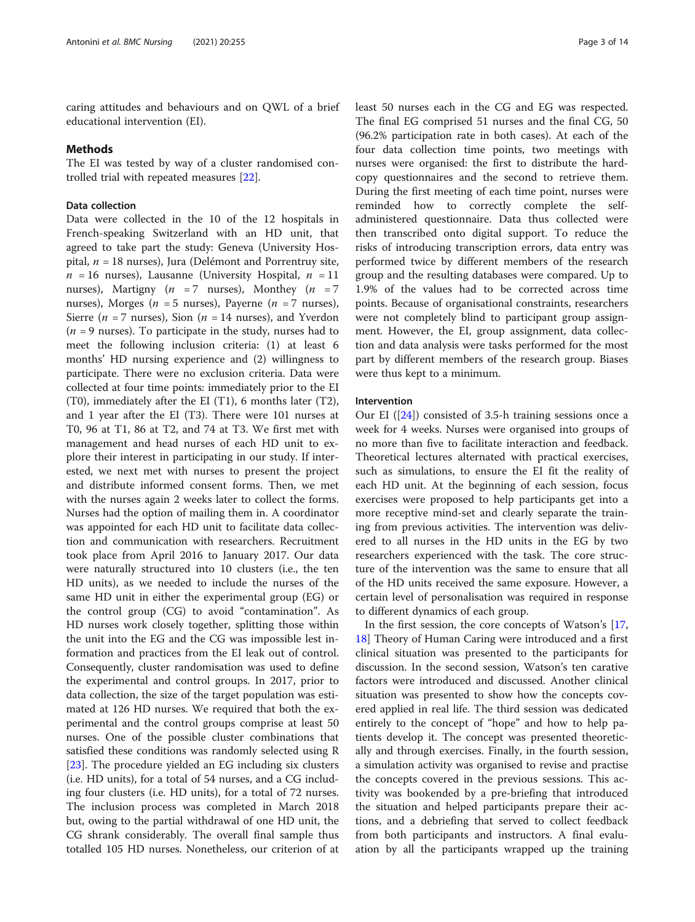caring attitudes and behaviours and on QWL of a brief educational intervention (EI).

#### Methods

The EI was tested by way of a cluster randomised controlled trial with repeated measures [\[22](#page-12-0)].

# Data collection

Data were collected in the 10 of the 12 hospitals in French-speaking Switzerland with an HD unit, that agreed to take part the study: Geneva (University Hospital,  $n = 18$  nurses), Jura (Delémont and Porrentruy site,  $n = 16$  nurses), Lausanne (University Hospital,  $n = 11$ nurses), Martigny ( $n = 7$  nurses), Monthey ( $n = 7$ nurses), Morges ( $n = 5$  nurses), Payerne ( $n = 7$  nurses), Sierre ( $n = 7$  nurses), Sion ( $n = 14$  nurses), and Yverdon  $(n = 9$  nurses). To participate in the study, nurses had to meet the following inclusion criteria: (1) at least 6 months' HD nursing experience and (2) willingness to participate. There were no exclusion criteria. Data were collected at four time points: immediately prior to the EI (T0), immediately after the EI (T1), 6 months later (T2), and 1 year after the EI (T3). There were 101 nurses at T0, 96 at T1, 86 at T2, and 74 at T3. We first met with management and head nurses of each HD unit to explore their interest in participating in our study. If interested, we next met with nurses to present the project and distribute informed consent forms. Then, we met with the nurses again 2 weeks later to collect the forms. Nurses had the option of mailing them in. A coordinator was appointed for each HD unit to facilitate data collection and communication with researchers. Recruitment took place from April 2016 to January 2017. Our data were naturally structured into 10 clusters (i.e., the ten HD units), as we needed to include the nurses of the same HD unit in either the experimental group (EG) or the control group (CG) to avoid "contamination". As HD nurses work closely together, splitting those within the unit into the EG and the CG was impossible lest information and practices from the EI leak out of control. Consequently, cluster randomisation was used to define the experimental and control groups. In 2017, prior to data collection, the size of the target population was estimated at 126 HD nurses. We required that both the experimental and the control groups comprise at least 50 nurses. One of the possible cluster combinations that satisfied these conditions was randomly selected using R [[23\]](#page-12-0). The procedure yielded an EG including six clusters (i.e. HD units), for a total of 54 nurses, and a CG including four clusters (i.e. HD units), for a total of 72 nurses. The inclusion process was completed in March 2018 but, owing to the partial withdrawal of one HD unit, the CG shrank considerably. The overall final sample thus totalled 105 HD nurses. Nonetheless, our criterion of at least 50 nurses each in the CG and EG was respected. The final EG comprised 51 nurses and the final CG, 50 (96.2% participation rate in both cases). At each of the four data collection time points, two meetings with nurses were organised: the first to distribute the hardcopy questionnaires and the second to retrieve them. During the first meeting of each time point, nurses were reminded how to correctly complete the selfadministered questionnaire. Data thus collected were then transcribed onto digital support. To reduce the risks of introducing transcription errors, data entry was performed twice by different members of the research group and the resulting databases were compared. Up to 1.9% of the values had to be corrected across time points. Because of organisational constraints, researchers were not completely blind to participant group assignment. However, the EI, group assignment, data collection and data analysis were tasks performed for the most part by different members of the research group. Biases were thus kept to a minimum.

# Intervention

Our EI ([\[24](#page-12-0)]) consisted of 3.5-h training sessions once a week for 4 weeks. Nurses were organised into groups of no more than five to facilitate interaction and feedback. Theoretical lectures alternated with practical exercises, such as simulations, to ensure the EI fit the reality of each HD unit. At the beginning of each session, focus exercises were proposed to help participants get into a more receptive mind-set and clearly separate the training from previous activities. The intervention was delivered to all nurses in the HD units in the EG by two researchers experienced with the task. The core structure of the intervention was the same to ensure that all of the HD units received the same exposure. However, a certain level of personalisation was required in response to different dynamics of each group.

In the first session, the core concepts of Watson's [[17](#page-12-0), [18\]](#page-12-0) Theory of Human Caring were introduced and a first clinical situation was presented to the participants for discussion. In the second session, Watson's ten carative factors were introduced and discussed. Another clinical situation was presented to show how the concepts covered applied in real life. The third session was dedicated entirely to the concept of "hope" and how to help patients develop it. The concept was presented theoretically and through exercises. Finally, in the fourth session, a simulation activity was organised to revise and practise the concepts covered in the previous sessions. This activity was bookended by a pre-briefing that introduced the situation and helped participants prepare their actions, and a debriefing that served to collect feedback from both participants and instructors. A final evaluation by all the participants wrapped up the training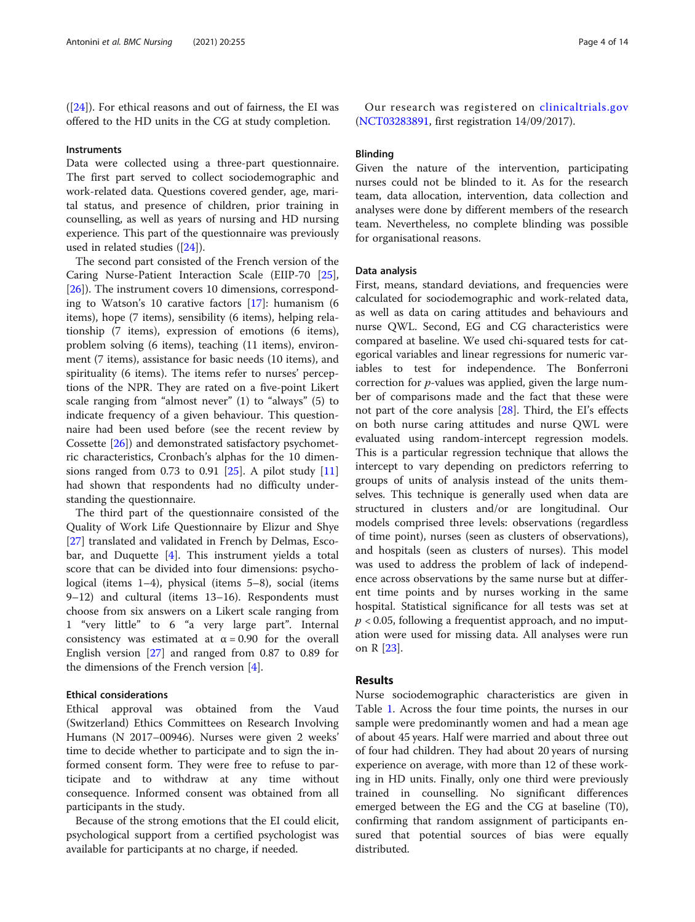([\[24\]](#page-12-0)). For ethical reasons and out of fairness, the EI was offered to the HD units in the CG at study completion.

#### **Instruments**

Data were collected using a three-part questionnaire. The first part served to collect sociodemographic and work-related data. Questions covered gender, age, marital status, and presence of children, prior training in counselling, as well as years of nursing and HD nursing experience. This part of the questionnaire was previously used in related studies ([\[24](#page-12-0)]).

The second part consisted of the French version of the Caring Nurse-Patient Interaction Scale (EIIP-70 [\[25](#page-12-0)], [[26\]](#page-12-0)). The instrument covers 10 dimensions, corresponding to Watson's 10 carative factors [[17\]](#page-12-0): humanism (6 items), hope (7 items), sensibility (6 items), helping relationship (7 items), expression of emotions (6 items), problem solving (6 items), teaching (11 items), environment (7 items), assistance for basic needs (10 items), and spirituality (6 items). The items refer to nurses' perceptions of the NPR. They are rated on a five-point Likert scale ranging from "almost never" (1) to "always" (5) to indicate frequency of a given behaviour. This questionnaire had been used before (see the recent review by Cossette [\[26](#page-12-0)]) and demonstrated satisfactory psychometric characteristics, Cronbach's alphas for the 10 dimensions ranged from 0.73 to 0.91  $[25]$ . A pilot study  $[11]$  $[11]$  $[11]$ had shown that respondents had no difficulty understanding the questionnaire.

The third part of the questionnaire consisted of the Quality of Work Life Questionnaire by Elizur and Shye [[27\]](#page-12-0) translated and validated in French by Delmas, Escobar, and Duquette [\[4](#page-12-0)]. This instrument yields a total score that can be divided into four dimensions: psychological (items 1–4), physical (items 5–8), social (items 9–12) and cultural (items 13–16). Respondents must choose from six answers on a Likert scale ranging from 1 "very little" to 6 "a very large part". Internal consistency was estimated at  $\alpha = 0.90$  for the overall English version [[27](#page-12-0)] and ranged from 0.87 to 0.89 for the dimensions of the French version [\[4](#page-12-0)].

# Ethical considerations

Ethical approval was obtained from the Vaud (Switzerland) Ethics Committees on Research Involving Humans (N 2017–00946). Nurses were given 2 weeks' time to decide whether to participate and to sign the informed consent form. They were free to refuse to participate and to withdraw at any time without consequence. Informed consent was obtained from all participants in the study.

Because of the strong emotions that the EI could elicit, psychological support from a certified psychologist was available for participants at no charge, if needed.

Our research was registered on [clinicaltrials.gov](http://clinicaltrials.gov) ([NCT03283891,](https://clinicaltrials.gov/ct2/show/NCT03283891) first registration 14/09/2017).

# Blinding

Given the nature of the intervention, participating nurses could not be blinded to it. As for the research team, data allocation, intervention, data collection and analyses were done by different members of the research team. Nevertheless, no complete blinding was possible for organisational reasons.

# Data analysis

First, means, standard deviations, and frequencies were calculated for sociodemographic and work-related data, as well as data on caring attitudes and behaviours and nurse QWL. Second, EG and CG characteristics were compared at baseline. We used chi-squared tests for categorical variables and linear regressions for numeric variables to test for independence. The Bonferroni correction for p-values was applied, given the large number of comparisons made and the fact that these were not part of the core analysis [[28\]](#page-13-0). Third, the EI's effects on both nurse caring attitudes and nurse QWL were evaluated using random-intercept regression models. This is a particular regression technique that allows the intercept to vary depending on predictors referring to groups of units of analysis instead of the units themselves. This technique is generally used when data are structured in clusters and/or are longitudinal. Our models comprised three levels: observations (regardless of time point), nurses (seen as clusters of observations), and hospitals (seen as clusters of nurses). This model was used to address the problem of lack of independence across observations by the same nurse but at different time points and by nurses working in the same hospital. Statistical significance for all tests was set at  $p < 0.05$ , following a frequentist approach, and no imputation were used for missing data. All analyses were run on R [\[23](#page-12-0)].

# Results

Nurse sociodemographic characteristics are given in Table [1.](#page-4-0) Across the four time points, the nurses in our sample were predominantly women and had a mean age of about 45 years. Half were married and about three out of four had children. They had about 20 years of nursing experience on average, with more than 12 of these working in HD units. Finally, only one third were previously trained in counselling. No significant differences emerged between the EG and the CG at baseline (T0), confirming that random assignment of participants ensured that potential sources of bias were equally distributed.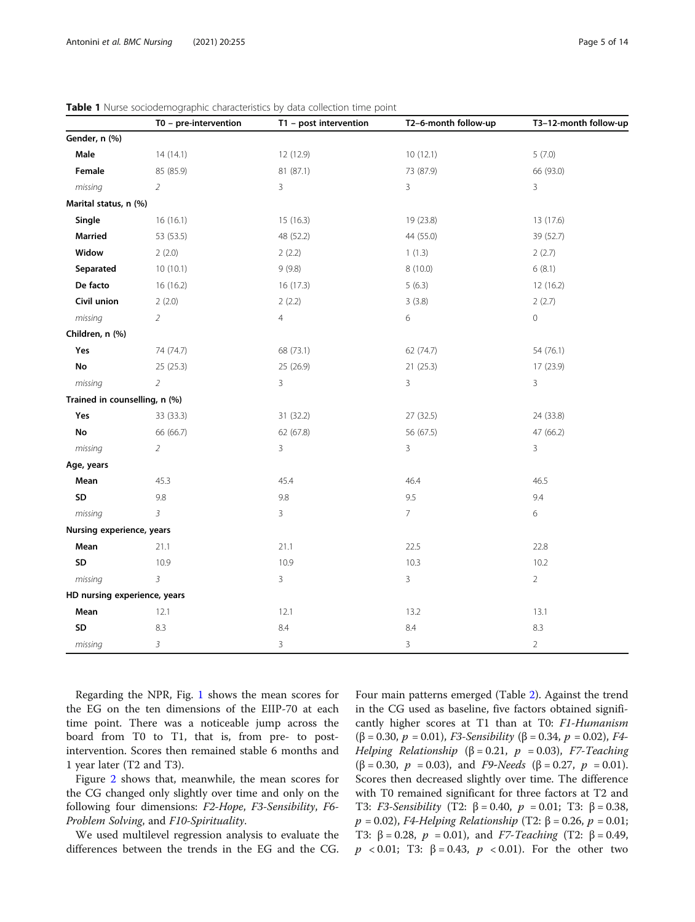|                               | T0 - pre-intervention | T1 - post intervention | T2-6-month follow-up | T3-12-month follow-up |
|-------------------------------|-----------------------|------------------------|----------------------|-----------------------|
| Gender, n (%)                 |                       |                        |                      |                       |
| Male                          | 14(14.1)              | 12 (12.9)              | 10(12.1)             | 5(7.0)                |
| Female                        | 85 (85.9)             | 81 (87.1)              | 73 (87.9)            | 66 (93.0)             |
| missing                       | $\overline{2}$        | $\overline{3}$         | 3                    | 3                     |
| Marital status, n (%)         |                       |                        |                      |                       |
| Single                        | 16(16.1)              | 15(16.3)               | 19 (23.8)            | 13 (17.6)             |
| Married                       | 53 (53.5)             | 48 (52.2)              | 44 (55.0)            | 39 (52.7)             |
| Widow                         | 2(2.0)                | 2(2.2)                 | 1(1.3)               | 2(2.7)                |
| Separated                     | 10(10.1)              | 9(9.8)                 | 8 (10.0)             | 6(8.1)                |
| De facto                      | 16(16.2)              | 16(17.3)               | 5(6.3)               | 12 (16.2)             |
| Civil union                   | 2(2.0)                | 2(2.2)                 | 3(3.8)               | 2(2.7)                |
| missing                       | $\overline{2}$        | $\overline{4}$         | 6                    | $\mathsf{O}\xspace$   |
| Children, n (%)               |                       |                        |                      |                       |
| Yes                           | 74 (74.7)             | 68 (73.1)              | 62 (74.7)            | 54 (76.1)             |
| No                            | 25 (25.3)             | 25 (26.9)              | 21(25.3)             | 17 (23.9)             |
| missing                       | $\overline{2}$        | 3                      | 3                    | 3                     |
| Trained in counselling, n (%) |                       |                        |                      |                       |
| Yes                           | 33 (33.3)             | 31 (32.2)              | 27 (32.5)            | 24 (33.8)             |
| No                            | 66 (66.7)             | 62 (67.8)              | 56 (67.5)            | 47 (66.2)             |
| missing                       | $\overline{2}$        | 3                      | 3                    | $\mathbf{3}$          |
| Age, years                    |                       |                        |                      |                       |
| Mean                          | 45.3                  | 45.4                   | 46.4                 | 46.5                  |
| SD                            | 9.8                   | 9.8                    | 9.5                  | 9.4                   |
| missing                       | $\overline{3}$        | 3                      | 7                    | 6                     |
| Nursing experience, years     |                       |                        |                      |                       |
| Mean                          | 21.1                  | 21.1                   | 22.5                 | 22.8                  |
| SD                            | 10.9                  | 10.9                   | 10.3                 | 10.2                  |
| missing                       | $\overline{3}$        | 3                      | 3                    | $\overline{2}$        |
| HD nursing experience, years  |                       |                        |                      |                       |
| Mean                          | 12.1                  | 12.1                   | 13.2                 | 13.1                  |
| SD                            | 8.3                   | 8.4                    | 8.4                  | 8.3                   |
| missing                       | $\overline{3}$        | 3                      | 3                    | $\overline{2}$        |

<span id="page-4-0"></span>Table 1 Nurse sociodemographic characteristics by data collection time point

Regarding the NPR, Fig. [1](#page-5-0) shows the mean scores for the EG on the ten dimensions of the EIIP-70 at each time point. There was a noticeable jump across the board from T0 to T1, that is, from pre- to postintervention. Scores then remained stable 6 months and 1 year later (T2 and T3).

Figure [2](#page-6-0) shows that, meanwhile, the mean scores for the CG changed only slightly over time and only on the following four dimensions: F2-Hope, F3-Sensibility, F6- Problem Solving, and F10-Spirituality.

We used multilevel regression analysis to evaluate the differences between the trends in the EG and the CG. Four main patterns emerged (Table [2\)](#page-7-0). Against the trend in the CG used as baseline, five factors obtained significantly higher scores at T1 than at T0: F1-Humanism ( $\beta$  = 0.30,  $p$  = 0.01), *F3-Sensibility* ( $\beta$  = 0.34,  $p$  = 0.02), *F4*-Helping Relationship ( $\beta = 0.21$ ,  $p = 0.03$ ), F7-Teaching ( $\beta$  = 0.30,  $p$  = 0.03), and *F9-Needs* ( $\beta$  = 0.27,  $p$  = 0.01). Scores then decreased slightly over time. The difference with T0 remained significant for three factors at T2 and T3: *F3-Sensibility* (T2:  $β = 0.40, p = 0.01$ ; T3:  $β = 0.38$ ,  $p = 0.02$ ), F4-Helping Relationship (T2: β = 0.26, p = 0.01; T3:  $\beta = 0.28$ ,  $p = 0.01$ ), and *F7-Teaching* (T2:  $\beta = 0.49$ ,  $p$  < 0.01; T3: β = 0.43,  $p$  < 0.01). For the other two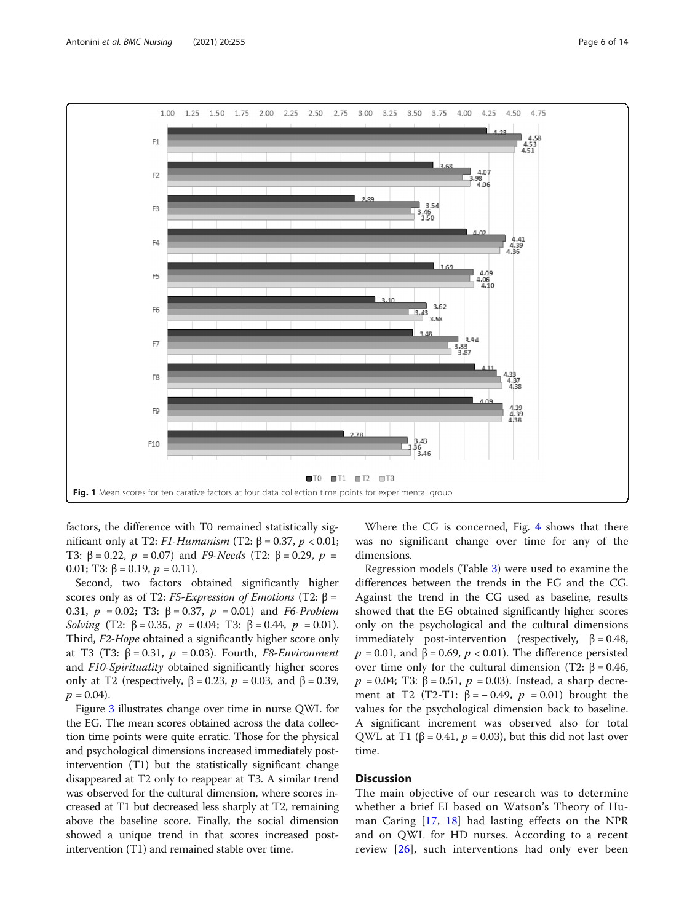<span id="page-5-0"></span>

factors, the difference with T0 remained statistically significant only at T2: *F1-Humanism* (Τ2:  $β = 0.37, p < 0.01$ ; T3:  $β = 0.22$ ,  $p = 0.07$ ) and F9-Needs (T2:  $β = 0.29$ ,  $p =$ 0.01; T3:  $\beta$  = 0.19,  $p$  = 0.11).

Second, two factors obtained significantly higher scores only as of T2: F5-Expression of Emotions (T2:  $\beta$  = 0.31,  $p = 0.02$ ; T3: β = 0.37,  $p = 0.01$ ) and F6-Problem Solving (T2: β = 0.35,  $p = 0.04$ ; T3: β = 0.44,  $p = 0.01$ ). Third, F2-Hope obtained a significantly higher score only at T3 (T3: β = 0.31,  $p = 0.03$ ). Fourth, F8-Environment and F10-Spirituality obtained significantly higher scores only at T2 (respectively,  $β = 0.23$ ,  $p = 0.03$ , and  $β = 0.39$ ,  $p = 0.04$ ).

Figure [3](#page-8-0) illustrates change over time in nurse QWL for the EG. The mean scores obtained across the data collection time points were quite erratic. Those for the physical and psychological dimensions increased immediately postintervention (T1) but the statistically significant change disappeared at T2 only to reappear at T3. A similar trend was observed for the cultural dimension, where scores increased at T1 but decreased less sharply at T2, remaining above the baseline score. Finally, the social dimension showed a unique trend in that scores increased postintervention (T1) and remained stable over time.

Where the CG is concerned, Fig. [4](#page-9-0) shows that there was no significant change over time for any of the dimensions.

Regression models (Table [3](#page-10-0)) were used to examine the differences between the trends in the EG and the CG. Against the trend in the CG used as baseline, results showed that the EG obtained significantly higher scores only on the psychological and the cultural dimensions immediately post-intervention (respectively,  $\beta = 0.48$ ,  $p = 0.01$ , and  $\beta = 0.69$ ,  $p < 0.01$ ). The difference persisted over time only for the cultural dimension (T2:  $β = 0.46$ ,  $p = 0.04$ ; T3: β = 0.51,  $p = 0.03$ ). Instead, a sharp decrement at T2 (T2-T1: β = -0.49,  $p = 0.01$ ) brought the values for the psychological dimension back to baseline. A significant increment was observed also for total QWL at T1 (β = 0.41,  $p = 0.03$ ), but this did not last over time.

# **Discussion**

The main objective of our research was to determine whether a brief EI based on Watson's Theory of Human Caring [[17,](#page-12-0) [18](#page-12-0)] had lasting effects on the NPR and on QWL for HD nurses. According to a recent review [\[26\]](#page-12-0), such interventions had only ever been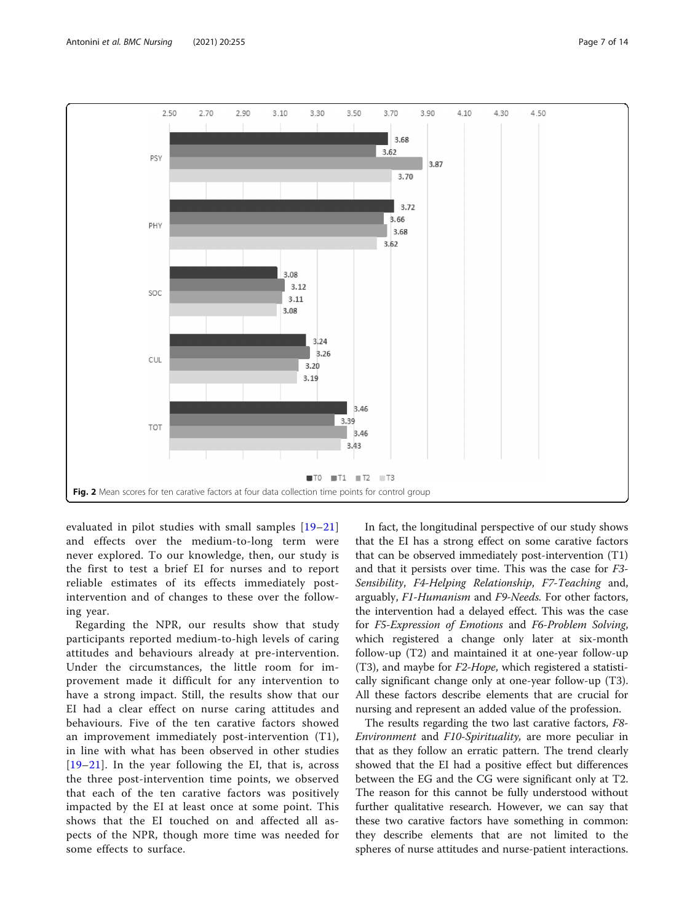<span id="page-6-0"></span>

evaluated in pilot studies with small samples [[19](#page-12-0)–[21](#page-12-0)] and effects over the medium-to-long term were never explored. To our knowledge, then, our study is the first to test a brief EI for nurses and to report reliable estimates of its effects immediately postintervention and of changes to these over the following year.

Regarding the NPR, our results show that study participants reported medium-to-high levels of caring attitudes and behaviours already at pre-intervention. Under the circumstances, the little room for improvement made it difficult for any intervention to have a strong impact. Still, the results show that our EI had a clear effect on nurse caring attitudes and behaviours. Five of the ten carative factors showed an improvement immediately post-intervention (T1), in line with what has been observed in other studies [[19](#page-12-0)–[21\]](#page-12-0). In the year following the EI, that is, across the three post-intervention time points, we observed that each of the ten carative factors was positively impacted by the EI at least once at some point. This shows that the EI touched on and affected all aspects of the NPR, though more time was needed for some effects to surface.

In fact, the longitudinal perspective of our study shows that the EI has a strong effect on some carative factors that can be observed immediately post-intervention (T1) and that it persists over time. This was the case for F3- Sensibility, F4-Helping Relationship, F7-Teaching and, arguably, F1-Humanism and F9-Needs. For other factors, the intervention had a delayed effect. This was the case for F5-Expression of Emotions and F6-Problem Solving, which registered a change only later at six-month follow-up (T2) and maintained it at one-year follow-up (T3), and maybe for  $F2-Hope$ , which registered a statistically significant change only at one-year follow-up (T3). All these factors describe elements that are crucial for nursing and represent an added value of the profession.

The results regarding the two last carative factors, F8- Environment and F10-Spirituality, are more peculiar in that as they follow an erratic pattern. The trend clearly showed that the EI had a positive effect but differences between the EG and the CG were significant only at T2. The reason for this cannot be fully understood without further qualitative research. However, we can say that these two carative factors have something in common: they describe elements that are not limited to the spheres of nurse attitudes and nurse-patient interactions.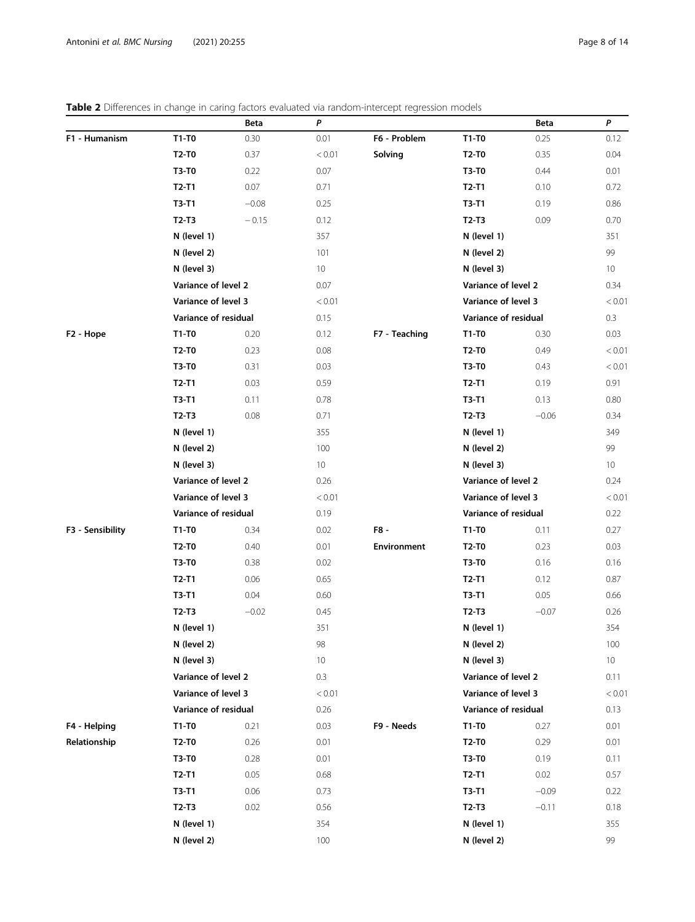# <span id="page-7-0"></span>Table 2 Differences in change in caring factors evaluated via random-intercept regression models

|                       |                      | Beta    | P               | able 2 Differences in change in caming factors evaluated via famoum intercept regression models |                      | Beta    | P               |
|-----------------------|----------------------|---------|-----------------|-------------------------------------------------------------------------------------------------|----------------------|---------|-----------------|
| F1 - Humanism         | T1-T0                | 0.30    | 0.01            | F6 - Problem                                                                                    | T1-T0                | 0.25    | 0.12            |
|                       | T2-T0                | 0.37    | < 0.01          | Solving                                                                                         | T2-T0                | 0.35    | 0.04            |
|                       | T3-T0                | 0.22    | 0.07            |                                                                                                 | T3-T0                | 0.44    | 0.01            |
|                       | $T2-T1$              | 0.07    | 0.71            |                                                                                                 | $T2-T1$              | 0.10    | 0.72            |
|                       | T3-T1                | $-0.08$ | 0.25            |                                                                                                 | $T3-T1$              | 0.19    | 0.86            |
|                       | $T2-T3$              | $-0.15$ | 0.12            |                                                                                                 | $T2-T3$              | 0.09    | 0.70            |
|                       | N (level 1)          |         | 357             |                                                                                                 | N (level 1)          |         | 351             |
|                       | N (level 2)          |         | 101             |                                                                                                 | N (level 2)          |         | 99              |
|                       | N (level 3)          |         | 10 <sup>°</sup> |                                                                                                 | N (level 3)          |         | 10 <sup>°</sup> |
|                       | Variance of level 2  |         | 0.07            |                                                                                                 | Variance of level 2  |         | 0.34            |
|                       | Variance of level 3  |         | < 0.01          |                                                                                                 | Variance of level 3  |         | < 0.01          |
|                       | Variance of residual |         | 0.15            |                                                                                                 | Variance of residual |         | 0.3             |
| F <sub>2</sub> - Hope | T1-T0                | 0.20    | 0.12            | F7 - Teaching                                                                                   | T1-T0                | 0.30    | 0.03            |
|                       | T2-T0                | 0.23    | 0.08            |                                                                                                 | T2-T0                | 0.49    | < 0.01          |
|                       | <b>T3-T0</b>         | 0.31    | 0.03            |                                                                                                 | T3-T0                | 0.43    | < 0.01          |
|                       | $T2-T1$              | 0.03    | 0.59            |                                                                                                 | $T2-T1$              | 0.19    | 0.91            |
|                       | T3-T1                | 0.11    | 0.78            |                                                                                                 | $T3-T1$              | 0.13    | 0.80            |
|                       | $T2-T3$              | 0.08    | 0.71            |                                                                                                 | $T2-T3$              | $-0.06$ | 0.34            |
|                       | N (level 1)          |         | 355             |                                                                                                 | N (level 1)          |         | 349             |
|                       | N (level 2)          |         | 100             |                                                                                                 | N (level 2)          |         | 99              |
|                       | N (level 3)          |         | 10 <sup>°</sup> |                                                                                                 | N (level 3)          |         | 10 <sup>°</sup> |
|                       | Variance of level 2  |         | 0.26            |                                                                                                 | Variance of level 2  |         | 0.24            |
|                       | Variance of level 3  |         | < 0.01          |                                                                                                 | Variance of level 3  |         | < 0.01          |
|                       | Variance of residual |         | 0.19            |                                                                                                 | Variance of residual |         | 0.22            |
| F3 - Sensibility      | T1-T0                | 0.34    | 0.02            | F8 -                                                                                            | T1-T0                | 0.11    | 0.27            |
|                       | T2-T0                | 0.40    | 0.01            | <b>Environment</b>                                                                              | T2-T0                | 0.23    | 0.03            |
|                       | T3-T0                | 0.38    | 0.02            |                                                                                                 | T3-T0                | 0.16    | 0.16            |
|                       | $T2-T1$              | 0.06    | 0.65            |                                                                                                 | $T2-T1$              | 0.12    | 0.87            |
|                       | T3-T1                | 0.04    | 0.60            |                                                                                                 | $T3-T1$              | 0.05    | 0.66            |
|                       | $T2-T3$              | $-0.02$ | 0.45            |                                                                                                 | $T2-T3$              | $-0.07$ | 0.26            |
|                       | N (level 1)          |         | 351             |                                                                                                 | N (level 1)          |         | 354             |
|                       | N (level 2)          |         | 98              |                                                                                                 | N (level 2)          |         | 100             |
|                       | N (level 3)          |         | 10 <sup>°</sup> |                                                                                                 | N (level 3)          |         | 10              |
|                       | Variance of level 2  |         | 0.3             |                                                                                                 | Variance of level 2  |         | 0.11            |
|                       | Variance of level 3  |         | < 0.01          |                                                                                                 | Variance of level 3  |         | < 0.01          |
|                       | Variance of residual |         | 0.26            |                                                                                                 | Variance of residual |         | 0.13            |
| F4 - Helping          | T1-T0                | 0.21    | 0.03            | F9 - Needs                                                                                      | T1-T0                | 0.27    | 0.01            |
| Relationship          | T2-T0                | 0.26    | 0.01            |                                                                                                 | <b>T2-T0</b>         | 0.29    | 0.01            |
|                       | <b>T3-T0</b>         | 0.28    | 0.01            |                                                                                                 | <b>T3-T0</b>         | 0.19    | 0.11            |
|                       | $T2-T1$              | 0.05    | 0.68            |                                                                                                 | $T2-T1$              | 0.02    | 0.57            |
|                       | T3-T1                | 0.06    | 0.73            |                                                                                                 | T3-T1                | $-0.09$ | 0.22            |
|                       | $T2-T3$              | 0.02    | 0.56            |                                                                                                 | $T2-T3$              | $-0.11$ | 0.18            |
|                       | N (level 1)          |         | 354             |                                                                                                 | N (level 1)          |         | 355             |
|                       | N (level 2)          |         | 100             |                                                                                                 | N (level 2)          |         | 99              |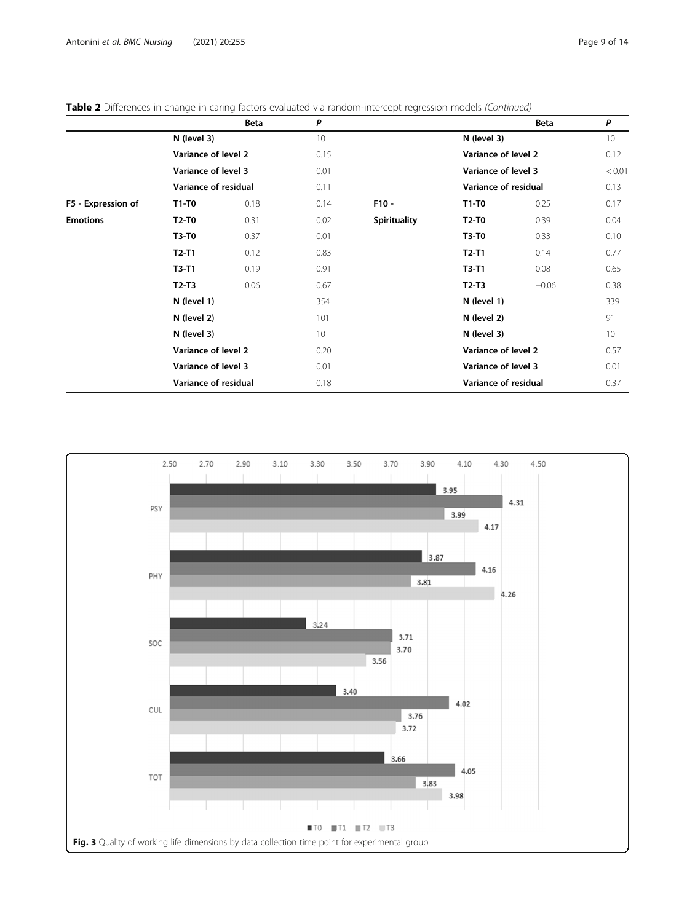|                    |                      | Beta | P               |                     |                      | <b>Beta</b> | P      |
|--------------------|----------------------|------|-----------------|---------------------|----------------------|-------------|--------|
|                    | N (level 3)          |      | 10              |                     | N (level 3)          |             | 10     |
|                    | Variance of level 2  |      | 0.15            | Variance of level 2 |                      |             | 0.12   |
|                    | Variance of level 3  |      | 0.01            | Variance of level 3 |                      |             | < 0.01 |
|                    | Variance of residual |      | 0.11            |                     | Variance of residual |             | 0.13   |
| F5 - Expression of | $T1-T0$              | 0.18 | 0.14            | $F10 -$             | $T1-T0$              | 0.25        | 0.17   |
| <b>Emotions</b>    | T2-T0                | 0.31 | 0.02            | <b>Spirituality</b> | $T2-T0$              | 0.39        | 0.04   |
|                    | T3-T0                | 0.37 | 0.01            |                     | <b>T3-T0</b>         | 0.33        | 0.10   |
|                    | $T2-T1$              | 0.12 | 0.83            |                     | $T2-T1$              | 0.14        | 0.77   |
|                    | $T3-T1$              | 0.19 | 0.91            |                     | $T3-T1$              | 0.08        | 0.65   |
|                    | $T2-T3$              | 0.06 | 0.67            |                     | $T2-T3$              | $-0.06$     | 0.38   |
|                    | N (level 1)          |      | 354             |                     | N (level 1)          |             | 339    |
|                    | N (level 2)          |      | 101             |                     | N (level 2)          |             | 91     |
|                    | N (level 3)          |      | 10 <sup>°</sup> |                     | N (level 3)          |             | 10     |
|                    | Variance of level 2  |      | 0.20            |                     | Variance of level 2  |             | 0.57   |
|                    | Variance of level 3  |      | 0.01            |                     | Variance of level 3  |             | 0.01   |
|                    | Variance of residual |      | 0.18            |                     | Variance of residual |             | 0.37   |

<span id="page-8-0"></span>Table 2 Differences in change in caring factors evaluated via random-intercept regression models (Continued)

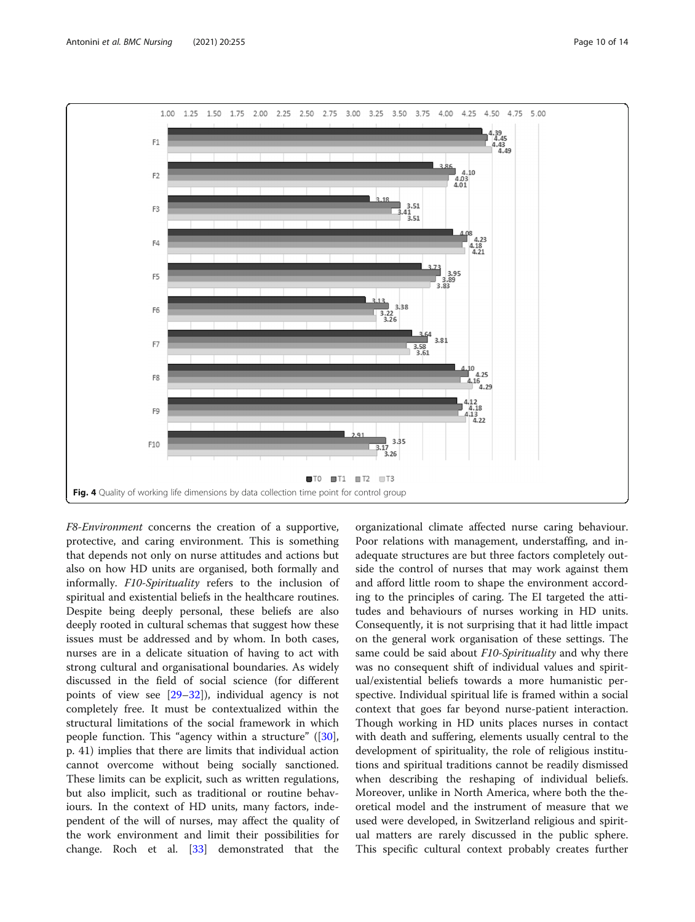<span id="page-9-0"></span>

F8-Environment concerns the creation of a supportive, protective, and caring environment. This is something that depends not only on nurse attitudes and actions but also on how HD units are organised, both formally and informally. F10-Spirituality refers to the inclusion of spiritual and existential beliefs in the healthcare routines. Despite being deeply personal, these beliefs are also deeply rooted in cultural schemas that suggest how these issues must be addressed and by whom. In both cases, nurses are in a delicate situation of having to act with strong cultural and organisational boundaries. As widely discussed in the field of social science (for different points of view see [\[29](#page-13-0)–[32\]](#page-13-0)), individual agency is not completely free. It must be contextualized within the structural limitations of the social framework in which people function. This "agency within a structure" ([\[30](#page-13-0)], p. 41) implies that there are limits that individual action cannot overcome without being socially sanctioned. These limits can be explicit, such as written regulations, but also implicit, such as traditional or routine behaviours. In the context of HD units, many factors, independent of the will of nurses, may affect the quality of the work environment and limit their possibilities for change. Roch et al. [[33\]](#page-13-0) demonstrated that the organizational climate affected nurse caring behaviour. Poor relations with management, understaffing, and inadequate structures are but three factors completely outside the control of nurses that may work against them and afford little room to shape the environment according to the principles of caring. The EI targeted the attitudes and behaviours of nurses working in HD units. Consequently, it is not surprising that it had little impact on the general work organisation of these settings. The same could be said about F10-Spirituality and why there was no consequent shift of individual values and spiritual/existential beliefs towards a more humanistic perspective. Individual spiritual life is framed within a social context that goes far beyond nurse-patient interaction. Though working in HD units places nurses in contact with death and suffering, elements usually central to the development of spirituality, the role of religious institutions and spiritual traditions cannot be readily dismissed when describing the reshaping of individual beliefs. Moreover, unlike in North America, where both the theoretical model and the instrument of measure that we used were developed, in Switzerland religious and spiritual matters are rarely discussed in the public sphere. This specific cultural context probably creates further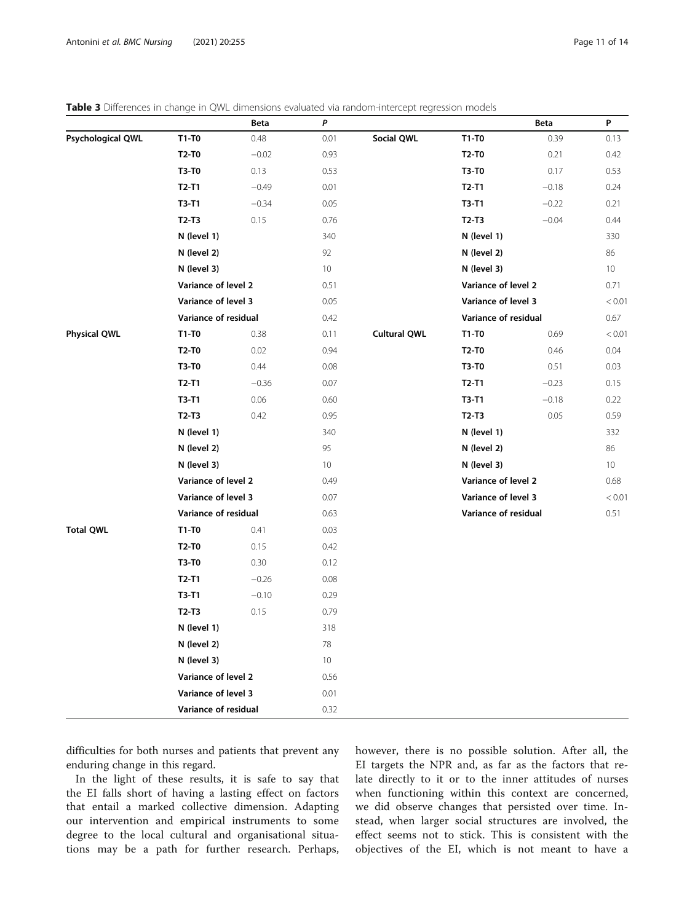<span id="page-10-0"></span>

| <b>Table 3</b> Differences in change in QWL dimensions evaluated via random-intercept regression models |  |  |  |  |  |
|---------------------------------------------------------------------------------------------------------|--|--|--|--|--|
|---------------------------------------------------------------------------------------------------------|--|--|--|--|--|

|                     |                      | Beta    | P               |                     |                      | Beta    | P               |
|---------------------|----------------------|---------|-----------------|---------------------|----------------------|---------|-----------------|
| Psychological QWL   | T1-T0                | 0.48    | 0.01            | Social QWL          | T1-T0                | 0.39    | 0.13            |
|                     | <b>T2-T0</b>         | $-0.02$ | 0.93            |                     | <b>T2-T0</b>         | 0.21    | 0.42            |
|                     | <b>T3-T0</b>         | 0.13    | 0.53            |                     | T3-T0                | 0.17    | 0.53            |
|                     | $T2-T1$              | $-0.49$ | 0.01            |                     | $T2-T1$              | $-0.18$ | 0.24            |
|                     | $T3-T1$              | $-0.34$ | 0.05            |                     | T3-T1                | $-0.22$ | 0.21            |
|                     | $T2-T3$              | 0.15    | 0.76            |                     | $T2-T3$              | $-0.04$ | 0.44            |
|                     | N (level 1)          |         | 340             |                     | N (level 1)          |         | 330             |
|                     | N (level 2)          |         | 92              |                     | N (level 2)          |         | 86              |
|                     | N (level 3)          |         | 10              |                     | N (level 3)          |         | 10 <sup>°</sup> |
|                     | Variance of level 2  |         | 0.51            |                     | Variance of level 2  |         | 0.71            |
|                     | Variance of level 3  |         | 0.05            |                     | Variance of level 3  |         | < 0.01          |
|                     | Variance of residual |         | 0.42            |                     | Variance of residual |         | 0.67            |
| <b>Physical QWL</b> | T1-T0                | 0.38    | 0.11            | <b>Cultural QWL</b> | T1-T0                | 0.69    | < 0.01          |
|                     | <b>T2-T0</b>         | 0.02    | 0.94            |                     | T2-T0                | 0.46    | 0.04            |
|                     | <b>T3-T0</b>         | 0.44    | 0.08            |                     | <b>T3-T0</b>         | 0.51    | 0.03            |
|                     | $T2-T1$              | $-0.36$ | 0.07            |                     | $T2-T1$              | $-0.23$ | 0.15            |
|                     | $T3-T1$              | 0.06    | 0.60            |                     | $T3-T1$              | $-0.18$ | 0.22            |
|                     | $T2-T3$              | 0.42    | 0.95            |                     | $T2-T3$              | 0.05    | 0.59            |
|                     | N (level 1)          |         | 340             |                     | N (level 1)          |         | 332             |
|                     | N (level 2)          |         | 95              |                     | N (level 2)          |         | 86              |
|                     | N (level 3)          |         | 10 <sup>°</sup> |                     | N (level 3)          |         | 10 <sup>°</sup> |
|                     | Variance of level 2  |         | 0.49            |                     | Variance of level 2  |         | 0.68            |
|                     | Variance of level 3  |         | 0.07            |                     | Variance of level 3  |         | < 0.01          |
|                     | Variance of residual |         | 0.63            |                     | Variance of residual |         | 0.51            |
| <b>Total QWL</b>    | T1-T0                | 0.41    | 0.03            |                     |                      |         |                 |
|                     | $T2-T0$              | 0.15    | 0.42            |                     |                      |         |                 |
|                     | <b>T3-T0</b>         | 0.30    | 0.12            |                     |                      |         |                 |
|                     | $T2-T1$              | $-0.26$ | 0.08            |                     |                      |         |                 |
|                     | $T3-T1$              | $-0.10$ | 0.29            |                     |                      |         |                 |
|                     | $T2-T3$              | 0.15    | 0.79            |                     |                      |         |                 |
|                     | N (level 1)          |         | 318             |                     |                      |         |                 |
|                     | N (level 2)          |         | 78              |                     |                      |         |                 |
|                     | N (level 3)          |         | 10 <sup>°</sup> |                     |                      |         |                 |
|                     | Variance of level 2  |         | 0.56            |                     |                      |         |                 |
|                     | Variance of level 3  |         | 0.01            |                     |                      |         |                 |
|                     | Variance of residual |         | 0.32            |                     |                      |         |                 |

difficulties for both nurses and patients that prevent any enduring change in this regard.

In the light of these results, it is safe to say that the EI falls short of having a lasting effect on factors that entail a marked collective dimension. Adapting our intervention and empirical instruments to some degree to the local cultural and organisational situations may be a path for further research. Perhaps, however, there is no possible solution. After all, the EI targets the NPR and, as far as the factors that relate directly to it or to the inner attitudes of nurses when functioning within this context are concerned, we did observe changes that persisted over time. Instead, when larger social structures are involved, the effect seems not to stick. This is consistent with the objectives of the EI, which is not meant to have a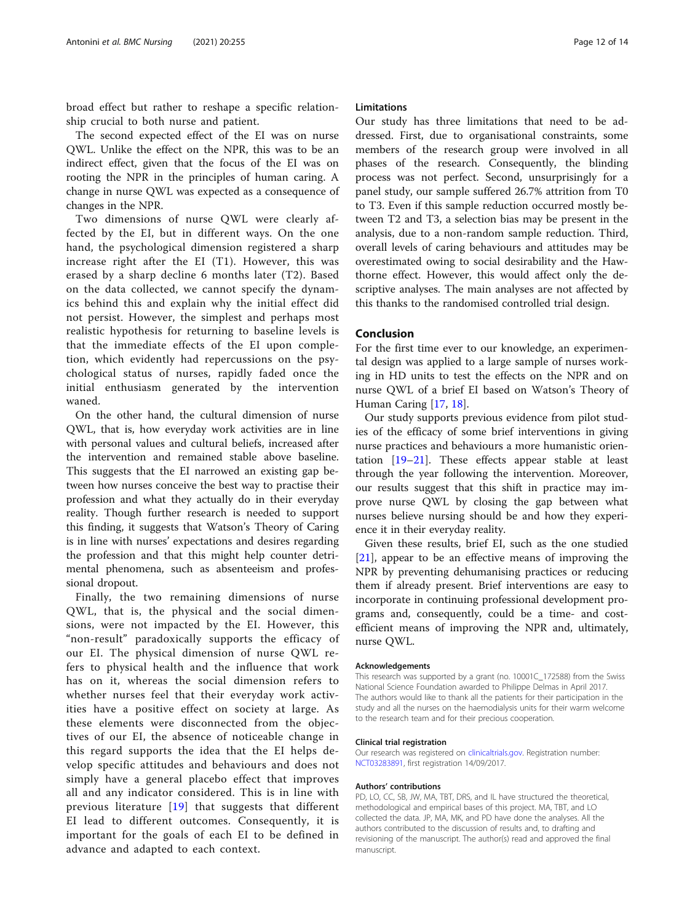broad effect but rather to reshape a specific relationship crucial to both nurse and patient.

The second expected effect of the EI was on nurse QWL. Unlike the effect on the NPR, this was to be an indirect effect, given that the focus of the EI was on rooting the NPR in the principles of human caring. A change in nurse QWL was expected as a consequence of changes in the NPR.

Two dimensions of nurse QWL were clearly affected by the EI, but in different ways. On the one hand, the psychological dimension registered a sharp increase right after the EI (T1). However, this was erased by a sharp decline 6 months later (T2). Based on the data collected, we cannot specify the dynamics behind this and explain why the initial effect did not persist. However, the simplest and perhaps most realistic hypothesis for returning to baseline levels is that the immediate effects of the EI upon completion, which evidently had repercussions on the psychological status of nurses, rapidly faded once the initial enthusiasm generated by the intervention waned.

On the other hand, the cultural dimension of nurse QWL, that is, how everyday work activities are in line with personal values and cultural beliefs, increased after the intervention and remained stable above baseline. This suggests that the EI narrowed an existing gap between how nurses conceive the best way to practise their profession and what they actually do in their everyday reality. Though further research is needed to support this finding, it suggests that Watson's Theory of Caring is in line with nurses' expectations and desires regarding the profession and that this might help counter detrimental phenomena, such as absenteeism and professional dropout.

Finally, the two remaining dimensions of nurse QWL, that is, the physical and the social dimensions, were not impacted by the EI. However, this "non-result" paradoxically supports the efficacy of our EI. The physical dimension of nurse QWL refers to physical health and the influence that work has on it, whereas the social dimension refers to whether nurses feel that their everyday work activities have a positive effect on society at large. As these elements were disconnected from the objectives of our EI, the absence of noticeable change in this regard supports the idea that the EI helps develop specific attitudes and behaviours and does not simply have a general placebo effect that improves all and any indicator considered. This is in line with previous literature [[19](#page-12-0)] that suggests that different EI lead to different outcomes. Consequently, it is important for the goals of each EI to be defined in advance and adapted to each context.

### Limitations

Our study has three limitations that need to be addressed. First, due to organisational constraints, some members of the research group were involved in all phases of the research. Consequently, the blinding process was not perfect. Second, unsurprisingly for a panel study, our sample suffered 26.7% attrition from T0 to T3. Even if this sample reduction occurred mostly between T2 and T3, a selection bias may be present in the analysis, due to a non-random sample reduction. Third, overall levels of caring behaviours and attitudes may be overestimated owing to social desirability and the Hawthorne effect. However, this would affect only the descriptive analyses. The main analyses are not affected by this thanks to the randomised controlled trial design.

# Conclusion

For the first time ever to our knowledge, an experimental design was applied to a large sample of nurses working in HD units to test the effects on the NPR and on nurse QWL of a brief EI based on Watson's Theory of Human Caring [\[17,](#page-12-0) [18\]](#page-12-0).

Our study supports previous evidence from pilot studies of the efficacy of some brief interventions in giving nurse practices and behaviours a more humanistic orientation [[19](#page-12-0)–[21](#page-12-0)]. These effects appear stable at least through the year following the intervention. Moreover, our results suggest that this shift in practice may improve nurse QWL by closing the gap between what nurses believe nursing should be and how they experience it in their everyday reality.

Given these results, brief EI, such as the one studied [[21\]](#page-12-0), appear to be an effective means of improving the NPR by preventing dehumanising practices or reducing them if already present. Brief interventions are easy to incorporate in continuing professional development programs and, consequently, could be a time- and costefficient means of improving the NPR and, ultimately, nurse QWL.

#### Acknowledgements

This research was supported by a grant (no. 10001C\_172588) from the Swiss National Science Foundation awarded to Philippe Delmas in April 2017. The authors would like to thank all the patients for their participation in the study and all the nurses on the haemodialysis units for their warm welcome to the research team and for their precious cooperation.

#### Clinical trial registration

Our research was registered on [clinicaltrials.gov.](http://clinicaltrials.gov) Registration number: [NCT03283891,](https://clinicaltrials.gov/ct2/show/NCT03283891) first registration 14/09/2017.

#### Authors' contributions

PD, LO, CC, SB, JW, MA, TBT, DRS, and IL have structured the theoretical, methodological and empirical bases of this project. MA, TBT, and LO collected the data. JP, MA, MK, and PD have done the analyses. All the authors contributed to the discussion of results and, to drafting and revisioning of the manuscript. The author(s) read and approved the final manuscript.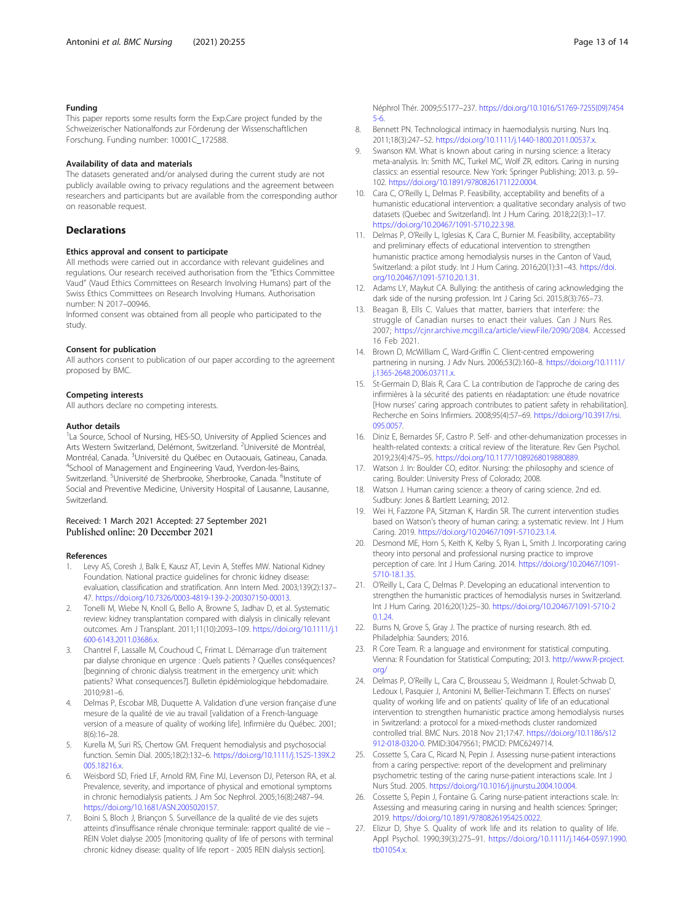# <span id="page-12-0"></span>Funding

This paper reports some results form the Exp.Care project funded by the Schweizerischer Nationalfonds zur Förderung der Wissenschaftlichen Forschung. Funding number: 10001C\_172588.

#### Availability of data and materials

The datasets generated and/or analysed during the current study are not publicly available owing to privacy regulations and the agreement between researchers and participants but are available from the corresponding author on reasonable request.

# **Declarations**

#### Ethics approval and consent to participate

All methods were carried out in accordance with relevant guidelines and regulations. Our research received authorisation from the "Ethics Committee Vaud" (Vaud Ethics Committees on Research Involving Humans) part of the Swiss Ethics Committees on Research Involving Humans. Authorisation number: N 2017–00946.

Informed consent was obtained from all people who participated to the study.

#### Consent for publication

All authors consent to publication of our paper according to the agreement proposed by BMC.

#### Competing interests

All authors declare no competing interests.

#### Author details

<sup>1</sup>La Source, School of Nursing, HES-SO, University of Applied Sciences and Arts Western Switzerland, Delémont, Switzerland. <sup>2</sup>Université de Montréal, Montréal, Canada. <sup>3</sup>Université du Québec en Outaouais, Gatineau, Canada.<br><sup>4</sup>School of Management and Engineering Vaud. Yugglen les Bains <sup>4</sup>School of Management and Engineering Vaud, Yverdon-les-Bains, Switzerland. <sup>5</sup>Université de Sherbrooke, Sherbrooke, Canada. <sup>6</sup>Institute of Social and Preventive Medicine, University Hospital of Lausanne, Lausanne, Switzerland.

# Received: 1 March 2021 Accepted: 27 September 2021 Published online: 20 December 2021

#### References

- 1. Levy AS, Coresh J, Balk E, Kausz AT, Levin A, Steffes MW. National Kidney Foundation. National practice guidelines for chronic kidney disease: evaluation, classification and stratification. Ann Intern Med. 2003;139(2):137– 47. <https://doi.org/10.7326/0003-4819-139-2-200307150-00013>.
- 2. Tonelli M, Wiebe N, Knoll G, Bello A, Browne S, Jadhav D, et al. Systematic review: kidney transplantation compared with dialysis in clinically relevant outcomes. Am J Transplant. 2011;11(10):2093–109. [https://doi.org/10.1111/j.1](https://doi.org/10.1111/j.1600-6143.2011.03686.x) [600-6143.2011.03686.x.](https://doi.org/10.1111/j.1600-6143.2011.03686.x)
- 3. Chantrel F, Lassalle M, Couchoud C, Frimat L. Démarrage d'un traitement par dialyse chronique en urgence : Quels patients ? Quelles conséquences? [beginning of chronic dialysis treatment in the emergency unit: which patients? What consequences?]. Bulletin épidémiologique hebdomadaire. 2010;9:81–6.
- 4. Delmas P, Escobar MB, Duquette A. Validation d'une version française d'une mesure de la qualité de vie au travail [validation of a French-language version of a measure of quality of working life]. Infirmière du Québec. 2001; 8(6):16–28.
- 5. Kurella M, Suri RS, Chertow GM. Frequent hemodialysis and psychosocial function. Semin Dial. 2005;18(2):132–6. [https://doi.org/10.1111/j.1525-139X.2](https://doi.org/10.1111/j.1525-139X.2005.18216.x) [005.18216.x](https://doi.org/10.1111/j.1525-139X.2005.18216.x)
- 6. Weisbord SD, Fried LF, Arnold RM, Fine MJ, Levenson DJ, Peterson RA, et al. Prevalence, severity, and importance of physical and emotional symptoms in chronic hemodialysis patients. J Am Soc Nephrol. 2005;16(8):2487–94. <https://doi.org/10.1681/ASN.2005020157>.
- 7. Boini S, Bloch J, Briançon S. Surveillance de la qualité de vie des sujets atteints d'insuffisance rénale chronique terminale: rapport qualité de vie – REIN Volet dialyse 2005 [monitoring quality of life of persons with terminal chronic kidney disease: quality of life report - 2005 REIN dialysis section].

Néphrol Thér. 2009;5:S177–237. [https://doi.org/10.1016/S1769-7255\(09\)7454](https://doi.org/10.1016/S1769-7255(09)74545-6) [5-6.](https://doi.org/10.1016/S1769-7255(09)74545-6)

- 8. Bennett PN. Technological intimacy in haemodialysis nursing. Nurs Inq. 2011;18(3):247–52. <https://doi.org/10.1111/j.1440-1800.2011.00537.x>.
- Swanson KM. What is known about caring in nursing science: a literacy meta-analysis. In: Smith MC, Turkel MC, Wolf ZR, editors. Caring in nursing classics: an essential resource. New York: Springer Publishing; 2013. p. 59– 102. [https://doi.org/10.1891/9780826171122.0004.](https://doi.org/10.1891/9780826171122.0004)
- 10. Cara C, O'Reilly L, Delmas P. Feasibility, acceptability and benefits of a humanistic educational intervention: a qualitative secondary analysis of two datasets (Quebec and Switzerland). Int J Hum Caring. 2018;22(3):1–17. <https://doi.org/10.20467/1091-5710.22.3.98>.
- 11. Delmas P, O'Reilly L, Iglesias K, Cara C, Burnier M. Feasibility, acceptability and preliminary effects of educational intervention to strengthen humanistic practice among hemodialysis nurses in the Canton of Vaud, Switzerland: a pilot study. Int J Hum Caring. 2016;20(1):31–43. [https://doi.](https://doi.org/10.20467/1091-5710.20.1.31) [org/10.20467/1091-5710.20.1.31](https://doi.org/10.20467/1091-5710.20.1.31).
- 12. Adams LY, Maykut CA. Bullying: the antithesis of caring acknowledging the dark side of the nursing profession. Int J Caring Sci. 2015;8(3):765–73.
- 13. Beagan B, Ells C. Values that matter, barriers that interfere: the struggle of Canadian nurses to enact their values. Can J Nurs Res. 2007; <https://cjnr.archive.mcgill.ca/article/viewFile/2090/2084>. Accessed 16 Feb 2021.
- 14. Brown D, McWilliam C, Ward-Griffin C. Client-centred empowering partnering in nursing. J Adv Nurs. 2006;53(2):160–8. [https://doi.org/10.1111/](https://doi.org/10.1111/j.1365-2648.2006.03711.x) [j.1365-2648.2006.03711.x](https://doi.org/10.1111/j.1365-2648.2006.03711.x).
- 15. St-Germain D, Blais R, Cara C. La contribution de l'approche de caring des infirmières à la sécurité des patients en réadaptation: une étude novatrice [How nurses' caring approach contributes to patient safety in rehabilitation]. Recherche en Soins Infirmiers. 2008;95(4):57–69. [https://doi.org/10.3917/rsi.](https://doi.org/10.3917/rsi.095.0057) [095.0057.](https://doi.org/10.3917/rsi.095.0057)
- 16. Diniz E, Bernardes SF, Castro P. Self- and other-dehumanization processes in health-related contexts: a critical review of the literature. Rev Gen Psychol. 2019;23(4):475–95. <https://doi.org/10.1177/1089268019880889>.
- 17. Watson J. In: Boulder CO, editor. Nursing: the philosophy and science of caring. Boulder: University Press of Colorado; 2008.
- 18. Watson J. Human caring science: a theory of caring science. 2nd ed. Sudbury: Jones & Bartlett Learning; 2012.
- 19. Wei H, Fazzone PA, Sitzman K, Hardin SR. The current intervention studies based on Watson's theory of human caring: a systematic review. Int J Hum Caring. 2019. [https://doi.org/10.20467/1091-5710.23.1.4.](https://doi.org/10.20467/1091-5710.23.1.4)
- 20. Desmond ME, Horn S, Keith K, Kelby S, Ryan L, Smith J. Incorporating caring theory into personal and professional nursing practice to improve perception of care. Int J Hum Caring. 2014. [https://doi.org/10.20467/1091-](https://doi.org/10.20467/1091-5710-18.1.35) [5710-18.1.35.](https://doi.org/10.20467/1091-5710-18.1.35)
- 21. O'Reilly L, Cara C, Delmas P. Developing an educational intervention to strengthen the humanistic practices of hemodialysis nurses in Switzerland. Int J Hum Caring. 2016;20(1):25–30. [https://doi.org/10.20467/1091-5710-2](https://doi.org/10.20467/1091-5710-20.1.24) [0.1.24.](https://doi.org/10.20467/1091-5710-20.1.24)
- 22. Burns N, Grove S, Gray J. The practice of nursing research. 8th ed. Philadelphia: Saunders; 2016.
- 23. R Core Team. R: a language and environment for statistical computing. Vienna: R Foundation for Statistical Computing; 2013. [http://www.R-project.](http://www.r-project.org/) [org/](http://www.r-project.org/)
- 24. Delmas P, O'Reilly L, Cara C, Brousseau S, Weidmann J, Roulet-Schwab D, Ledoux I, Pasquier J, Antonini M, Bellier-Teichmann T. Effects on nurses' quality of working life and on patients' quality of life of an educational intervention to strengthen humanistic practice among hemodialysis nurses in Switzerland: a protocol for a mixed-methods cluster randomized controlled trial. BMC Nurs. 2018 Nov 21;17:47. [https://doi.org/10.1186/s12](https://doi.org/10.1186/s12912-018-0320-0) [912-018-0320-0.](https://doi.org/10.1186/s12912-018-0320-0) PMID:30479561; PMCID: PMC6249714.
- 25. Cossette S, Cara C, Ricard N, Pepin J. Assessing nurse-patient interactions from a caring perspective: report of the development and preliminary psychometric testing of the caring nurse-patient interactions scale. Int J Nurs Stud. 2005. <https://doi.org/10.1016/j.ijnurstu.2004.10.004>.
- 26. Cossette S, Pepin J, Fontaine G. Caring nurse-patient interactions scale. In: Assessing and measuring caring in nursing and health sciences: Springer; 2019. <https://doi.org/10.1891/9780826195425.0022>.
- 27. Elizur D, Shye S. Quality of work life and its relation to quality of life. Appl Psychol. 1990;39(3):275–91. [https://doi.org/10.1111/j.1464-0597.1990.](https://doi.org/10.1111/j.1464-0597.1990.tb01054.x) [tb01054.x.](https://doi.org/10.1111/j.1464-0597.1990.tb01054.x)